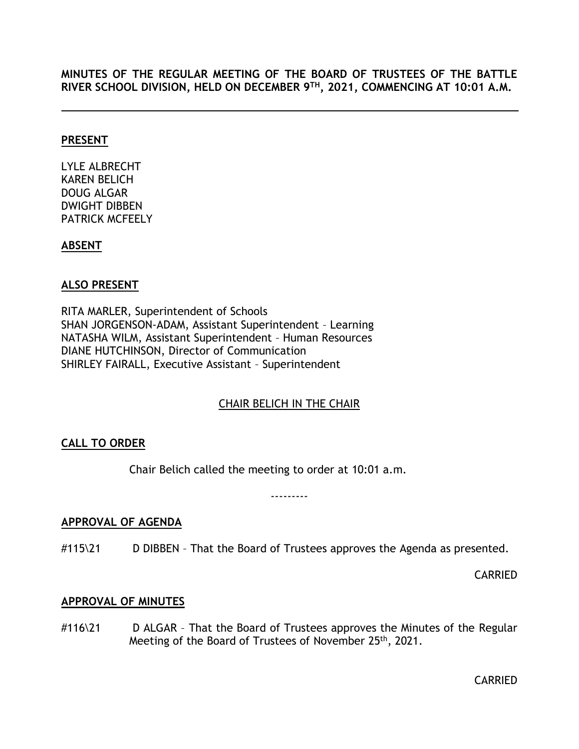**MINUTES OF THE REGULAR MEETING OF THE BOARD OF TRUSTEES OF THE BATTLE RIVER SCHOOL DIVISION, HELD ON DECEMBER 9 TH, 2021, COMMENCING AT 10:01 A.M.**

#### **PRESENT**

LYLE ALBRECHT KAREN BELICH DOUG ALGAR DWIGHT DIBBEN PATRICK MCFEELY

#### **ABSENT**

#### **ALSO PRESENT**

RITA MARLER, Superintendent of Schools SHAN JORGENSON-ADAM, Assistant Superintendent – Learning NATASHA WILM, Assistant Superintendent – Human Resources DIANE HUTCHINSON, Director of Communication SHIRLEY FAIRALL, Executive Assistant – Superintendent

## CHAIR BELICH IN THE CHAIR

## <span id="page-0-0"></span>**CALL TO ORDER**

Chair Belich called the meeting to order at 10:01 a.m.

---------

#### <span id="page-0-1"></span>**APPROVAL OF AGENDA**

#115\21 D DIBBEN – That the Board of Trustees approves the Agenda as presented.

CARRIED

#### <span id="page-0-2"></span>**APPROVAL OF MINUTES**

#116\21 D ALGAR - That the Board of Trustees approves the Minutes of the Regular Meeting of the Board of Trustees of November 25<sup>th</sup>, 2021.

CARRIED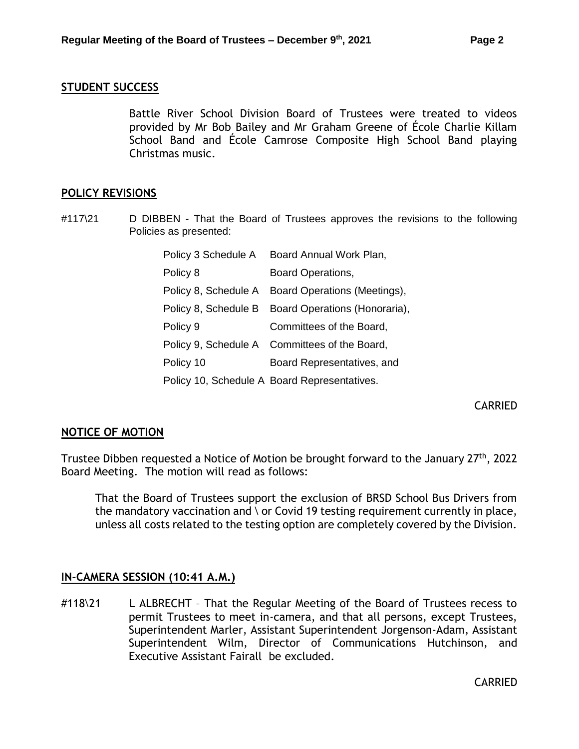#### <span id="page-1-0"></span>**STUDENT SUCCESS**

Battle River School Division Board of Trustees were treated to videos provided by Mr Bob Bailey and Mr Graham Greene of École Charlie Killam School Band and École Camrose Composite High School Band playing Christmas music.

#### <span id="page-1-1"></span>**POLICY REVISIONS**

#117\21 D DIBBEN - That the Board of Trustees approves the revisions to the following Policies as presented:

| Policy 3 Schedule A  | Board Annual Work Plan,                           |
|----------------------|---------------------------------------------------|
| Policy 8             | Board Operations,                                 |
|                      | Policy 8, Schedule A Board Operations (Meetings), |
| Policy 8, Schedule B | Board Operations (Honoraria),                     |
| Policy 9             | Committees of the Board,                          |
|                      | Policy 9, Schedule A Committees of the Board,     |
| Policy 10            | Board Representatives, and                        |
|                      | Policy 10, Schedule A Board Representatives.      |

CARRIED

#### <span id="page-1-2"></span>**NOTICE OF MOTION**

Trustee Dibben requested a Notice of Motion be brought forward to the January 27<sup>th</sup>, 2022 Board Meeting. The motion will read as follows:

That the Board of Trustees support the exclusion of BRSD School Bus Drivers from the mandatory vaccination and \ or Covid 19 testing requirement currently in place, unless all costs related to the testing option are completely covered by the Division.

#### **IN-CAMERA SESSION (10:41 A.M.)**

#118\21 L ALBRECHT – That the Regular Meeting of the Board of Trustees recess to permit Trustees to meet in-camera, and that all persons, except Trustees, Superintendent Marler, Assistant Superintendent Jorgenson-Adam, Assistant Superintendent Wilm, Director of Communications Hutchinson, and Executive Assistant Fairall be excluded.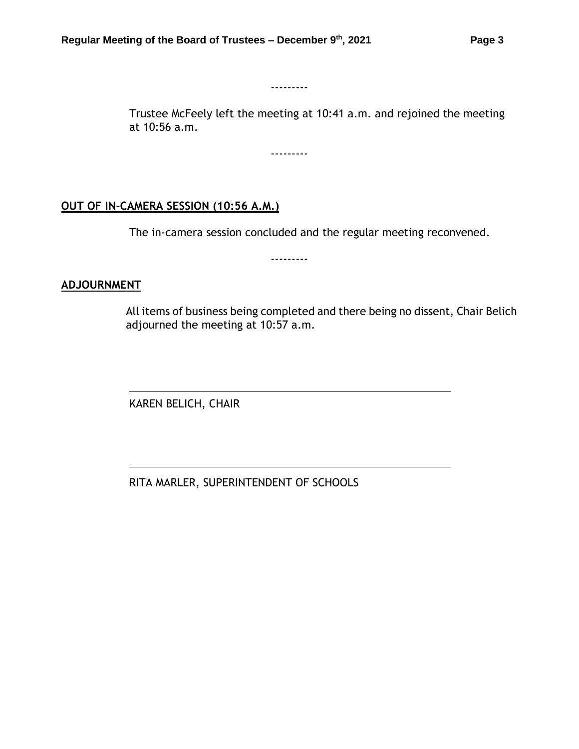---------

Trustee McFeely left the meeting at 10:41 a.m. and rejoined the meeting at 10:56 a.m.

---------

## **OUT OF IN-CAMERA SESSION (10:56 A.M.)**

The in-camera session concluded and the regular meeting reconvened.

---------

#### **ADJOURNMENT**

All items of business being completed and there being no dissent, Chair Belich adjourned the meeting at 10:57 a.m.

KAREN BELICH, CHAIR

RITA MARLER, SUPERINTENDENT OF SCHOOLS